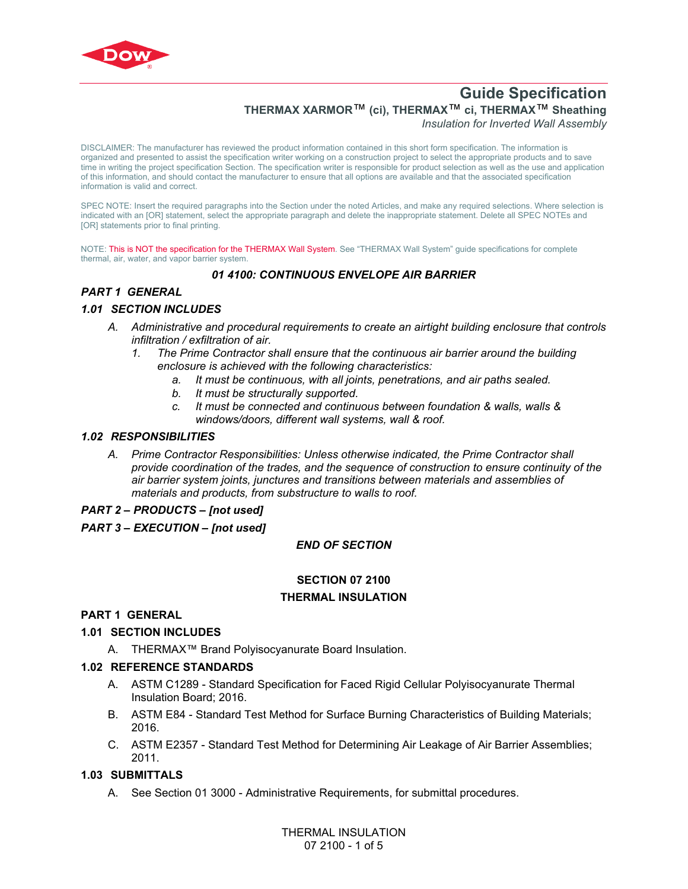

# **THERMAX XARMOR**™ **(ci), THERMAX**™ **ci, THERMAX**™ **Sheathing**

*Insulation for Inverted Wall Assembly*

DISCLAIMER: The manufacturer has reviewed the product information contained in this short form specification. The information is organized and presented to assist the specification writer working on a construction project to select the appropriate products and to save time in writing the project specification Section. The specification writer is responsible for product selection as well as the use and application of this information, and should contact the manufacturer to ensure that all options are available and that the associated specification information is valid and correct.

SPEC NOTE: Insert the required paragraphs into the Section under the noted Articles, and make any required selections. Where selection is indicated with an [OR] statement, select the appropriate paragraph and delete the inappropriate statement. Delete all SPEC NOTEs and [OR] statements prior to final printing.

NOTE: This is NOT the specification for the THERMAX Wall System. See "THERMAX Wall System" quide specifications for complete thermal, air, water, and vapor barrier system.

### *01 4100: CONTINUOUS ENVELOPE AIR BARRIER*

# *PART 1 GENERAL*

#### *1.01 SECTION INCLUDES*

- *A. Administrative and procedural requirements to create an airtight building enclosure that controls infiltration / exfiltration of air.*
	- *1. The Prime Contractor shall ensure that the continuous air barrier around the building enclosure is achieved with the following characteristics:*
		- *a. It must be continuous, with all joints, penetrations, and air paths sealed.*
		- *b. It must be structurally supported.*
		- *c. It must be connected and continuous between foundation & walls, walls & windows/doors, different wall systems, wall & roof.*

#### *1.02 RESPONSIBILITIES*

*A. Prime Contractor Responsibilities: Unless otherwise indicated, the Prime Contractor shall provide coordination of the trades, and the sequence of construction to ensure continuity of the air barrier system joints, junctures and transitions between materials and assemblies of materials and products, from substructure to walls to roof.* 

#### *PART 2 – PRODUCTS – [not used]*

#### *PART 3 – EXECUTION – [not used]*

#### *END OF SECTION*

# **SECTION 07 2100**

#### **THERMAL INSULATION**

### **PART 1 GENERAL**

#### **1.01 SECTION INCLUDES**

A. THERMAX™ Brand Polyisocyanurate Board Insulation.

#### **1.02 REFERENCE STANDARDS**

- A. [ASTM C1289](http://global.ihs.com/doc_detail.cfm?rid=BSD&document_name=ASTM%20C1289) Standard Specification for Faced Rigid Cellular Polyisocyanurate Thermal Insulation Board; 2016.
- B. [ASTM E84](https://global.ihs.com/doc_detail.cfm?rid=BSD&document_name=ASTM%20E84) Standard Test Method for Surface Burning Characteristics of Building Materials; 2016.
- C. [ASTM E2357](http://global.ihs.com/doc_detail.cfm?rid=BSD&document_name=ASTM%20E2357) Standard Test Method for Determining Air Leakage of Air Barrier Assemblies; 2011.

#### **1.03 SUBMITTALS**

A. See Section 01 3000 - Administrative Requirements, for submittal procedures.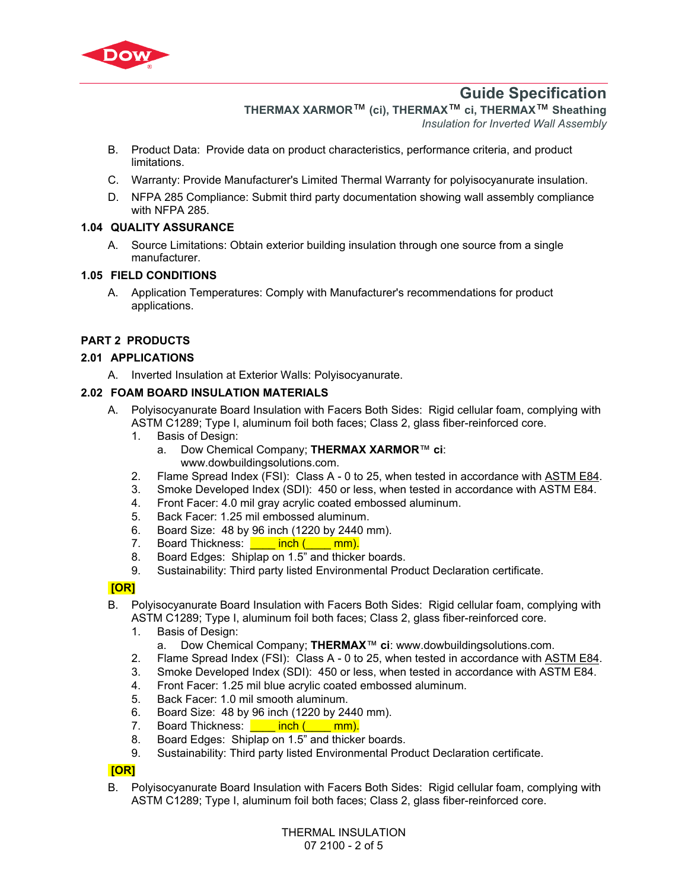

**THERMAX XARMOR**™ **(ci), THERMAX**™ **ci, THERMAX**™ **Sheathing** 

*Insulation for Inverted Wall Assembly*

- B. Product Data: Provide data on product characteristics, performance criteria, and product limitations.
- C. Warranty: Provide Manufacturer's Limited Thermal Warranty for polyisocyanurate insulation.
- D. NFPA 285 Compliance: Submit third party documentation showing wall assembly compliance with NFPA 285.

## **1.04 QUALITY ASSURANCE**

A. Source Limitations: Obtain exterior building insulation through one source from a single manufacturer.

## **1.05 FIELD CONDITIONS**

A. Application Temperatures: Comply with Manufacturer's recommendations for product applications.

# **PART 2 PRODUCTS**

### **2.01 APPLICATIONS**

A. Inverted Insulation at Exterior Walls: Polyisocyanurate.

### **2.02 FOAM BOARD INSULATION MATERIALS**

- A. Polyisocyanurate Board Insulation with Facers Both Sides: Rigid cellular foam, complying with [ASTM C1289](http://global.ihs.com/doc_detail.cfm?rid=BSD&document_name=ASTM%20C1289); Type I, aluminum foil both faces; Class 2, glass fiber-reinforced core.
	- 1. Basis of Design:
		- a. Dow Chemical Company; **THERMAX XARMOR**™ **ci**: www.dowbuildingsolutions.com.
	- 2. Flame Spread Index (FSI): Class A 0 to 25, when tested in accordance with [ASTM E84.](https://global.ihs.com/doc_detail.cfm?rid=BSD&document_name=ASTM%20E84)
	- 3. Smoke Developed Index (SDI): 450 or less, when tested in accordance with [ASTM E84.](https://global.ihs.com/doc_detail.cfm?rid=BSD&document_name=ASTM%20E84)
	- 4. Front Facer: 4.0 mil gray acrylic coated embossed aluminum.
	- 5. Back Facer: 1.25 mil embossed aluminum.
	- 6. Board Size: 48 by 96 inch (1220 by 2440 mm).
	- 7. Board Thickness: **inch (\_\_\_\_ mm).**
	- 8. Board Edges: Shiplap on 1.5" and thicker boards.
	- 9. Sustainability: Third party listed Environmental Product Declaration certificate.

### **[OR]**

- B. Polyisocyanurate Board Insulation with Facers Both Sides: Rigid cellular foam, complying with [ASTM C1289](http://global.ihs.com/doc_detail.cfm?rid=BSD&document_name=ASTM%20C1289); Type I, aluminum foil both faces; Class 2, glass fiber-reinforced core.
	- 1. Basis of Design:
		- a. Dow Chemical Company; **THERMAX**™ **ci**: www.dowbuildingsolutions.com.
	- 2. Flame Spread Index (FSI): Class A 0 to 25, when tested in accordance with [ASTM E84.](https://global.ihs.com/doc_detail.cfm?rid=BSD&document_name=ASTM%20E84)
	- 3. Smoke Developed Index (SDI): 450 or less, when tested in accordance with [ASTM E84.](https://global.ihs.com/doc_detail.cfm?rid=BSD&document_name=ASTM%20E84)
	- 4. Front Facer: 1.25 mil blue acrylic coated embossed aluminum.
	- 5. Back Facer: 1.0 mil smooth aluminum.
	- 6. Board Size: 48 by 96 inch (1220 by 2440 mm).
	- 7. Board Thickness: **\_\_\_\_\_ inch (\_\_\_\_ mm).**
	- 8. Board Edges: Shiplap on 1.5" and thicker boards.
	- 9. Sustainability: Third party listed Environmental Product Declaration certificate.

### **[OR]**

B. Polyisocyanurate Board Insulation with Facers Both Sides: Rigid cellular foam, complying with [ASTM C1289](http://global.ihs.com/doc_detail.cfm?rid=BSD&document_name=ASTM%20C1289); Type I, aluminum foil both faces; Class 2, glass fiber-reinforced core.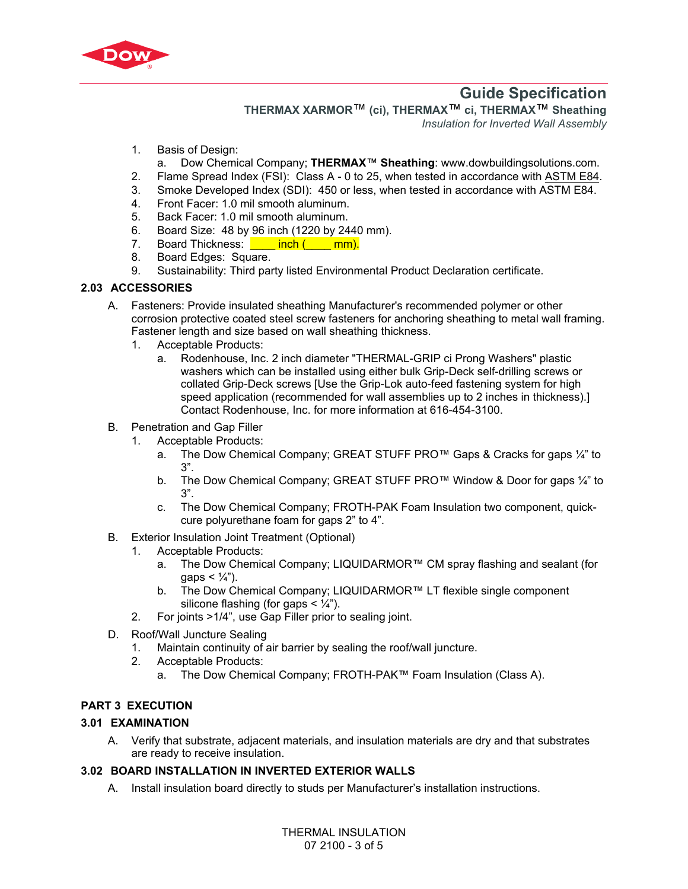

**THERMAX XARMOR**™ **(ci), THERMAX**™ **ci, THERMAX**™ **Sheathing** 

*Insulation for Inverted Wall Assembly*

- 1. Basis of Design:
- a. Dow Chemical Company; **THERMAX**™ **Sheathing**: www.dowbuildingsolutions.com.
- 2. Flame Spread Index (FSI): Class A 0 to 25, when tested in accordance with [ASTM E84.](https://global.ihs.com/doc_detail.cfm?rid=BSD&document_name=ASTM%20E84)
- 3. Smoke Developed Index (SDI): 450 or less, when tested in accordance with [ASTM E84.](https://global.ihs.com/doc_detail.cfm?rid=BSD&document_name=ASTM%20E84)
- 4. Front Facer: 1.0 mil smooth aluminum.
- 5. Back Facer: 1.0 mil smooth aluminum.
- 6. Board Size: 48 by 96 inch (1220 by 2440 mm).
- 7. Board Thickness: **inch (** \_\_\_ mm).
- 8. Board Edges: Square.
- 9. Sustainability: Third party listed Environmental Product Declaration certificate.

#### **2.03 ACCESSORIES**

- A. Fasteners: Provide insulated sheathing Manufacturer's recommended polymer or other corrosion protective coated steel screw fasteners for anchoring sheathing to metal wall framing. Fastener length and size based on wall sheathing thickness.
	- 1. Acceptable Products:
		- a. Rodenhouse, Inc. 2 inch diameter "THERMAL-GRIP ci Prong Washers" plastic washers which can be installed using either bulk Grip-Deck self-drilling screws or collated Grip-Deck screws [Use the Grip-Lok auto-feed fastening system for high speed application (recommended for wall assemblies up to 2 inches in thickness).] Contact Rodenhouse, Inc. for more information at 616-454-3100.
- B. Penetration and Gap Filler
	- 1. Acceptable Products:
		- a. The Dow Chemical Company; GREAT STUFF PRO™ Gaps & Cracks for gaps ¼" to 3".
		- b. The Dow Chemical Company; GREAT STUFF PRO™ Window & Door for gaps ¼" to 3".
		- c. The Dow Chemical Company; FROTH-PAK Foam Insulation two component, quickcure polyurethane foam for gaps 2" to 4".
- B. Exterior Insulation Joint Treatment (Optional)
	- 1. Acceptable Products:
		- a. The Dow Chemical Company; LIQUIDARMOR™ CM spray flashing and sealant (for qaps  $< 1/4$ ").
		- b. The Dow Chemical Company; LIQUIDARMOR™ LT flexible single component silicone flashing (for gaps  $\lt \frac{1}{4}$ ").
	- 2. For joints >1/4", use Gap Filler prior to sealing joint.
- D. Roof/Wall Juncture Sealing
	- 1. Maintain continuity of air barrier by sealing the roof/wall juncture.
	- 2. Acceptable Products:
		- a. The Dow Chemical Company; FROTH-PAK™ Foam Insulation (Class A).

### **PART 3 EXECUTION**

#### **3.01 EXAMINATION**

A. Verify that substrate, adjacent materials, and insulation materials are dry and that substrates are ready to receive insulation.

#### **3.02 BOARD INSTALLATION IN INVERTED EXTERIOR WALLS**

A. Install insulation board directly to studs per Manufacturer's installation instructions.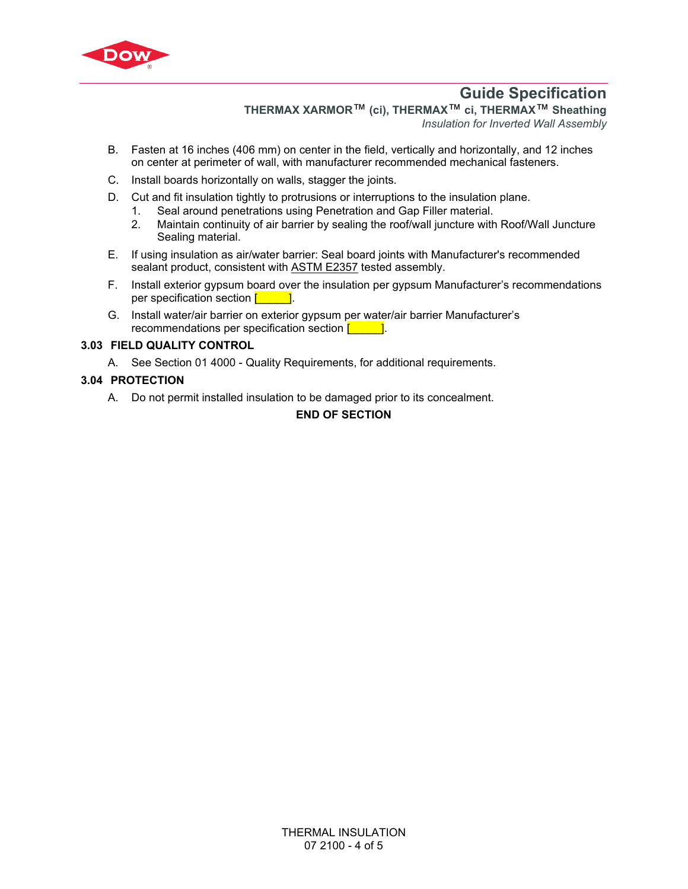

**THERMAX XARMOR**™ **(ci), THERMAX**™ **ci, THERMAX**™ **Sheathing** 

*Insulation for Inverted Wall Assembly*

- B. Fasten at 16 inches (406 mm) on center in the field, vertically and horizontally, and 12 inches on center at perimeter of wall, with manufacturer recommended mechanical fasteners.
- C. Install boards horizontally on walls, stagger the joints.
- D. Cut and fit insulation tightly to protrusions or interruptions to the insulation plane.
	- 1. Seal around penetrations using Penetration and Gap Filler material.
	- 2. Maintain continuity of air barrier by sealing the roof/wall juncture with Roof/Wall Juncture Sealing material.
- E. If using insulation as air/water barrier: Seal board joints with Manufacturer's recommended sealant product, consistent with [ASTM E2357](http://global.ihs.com/doc_detail.cfm?rid=BSD&document_name=ASTM%20E2357) tested assembly.
- F. Install exterior gypsum board over the insulation per gypsum Manufacturer's recommendations per specification section  $\begin{bmatrix} 1 & 1 \end{bmatrix}$ .
- G. Install water/air barrier on exterior gypsum per water/air barrier Manufacturer's recommendations per specification section  $\begin{bmatrix} 1 & 1 \end{bmatrix}$ .

### **3.03 FIELD QUALITY CONTROL**

A. See Section 01 4000 - Quality Requirements, for additional requirements.

## **3.04 PROTECTION**

A. Do not permit installed insulation to be damaged prior to its concealment.

# **END OF SECTION**